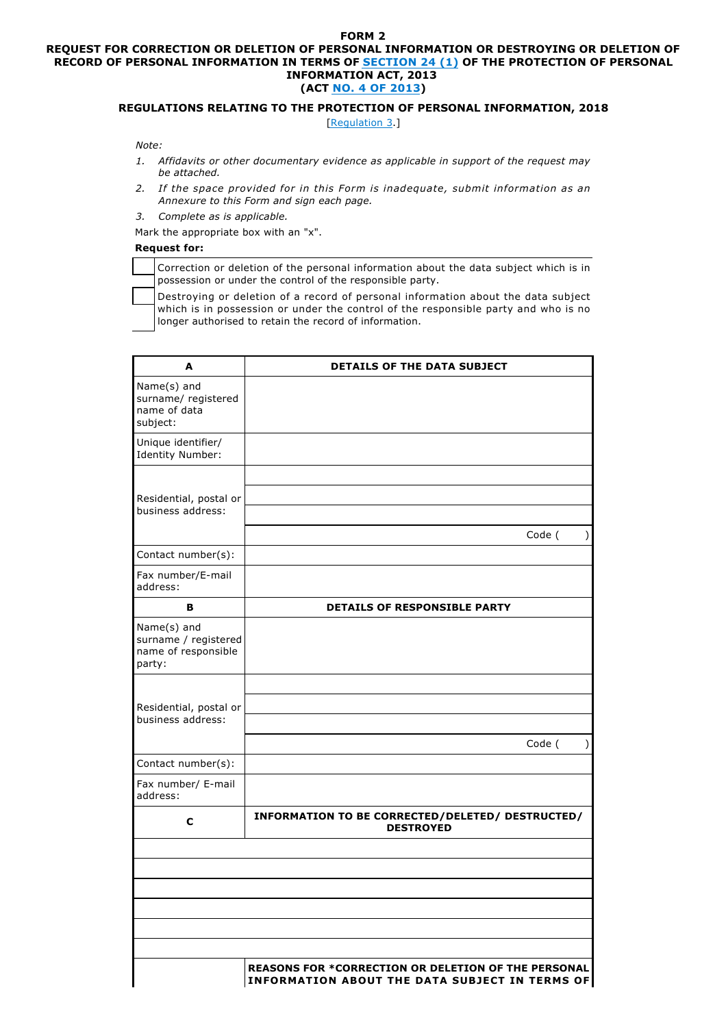## **FORM 2**

## **REQUEST FOR CORRECTION OR DELETION OF PERSONAL INFORMATION OR DESTROYING OR DELETION OF RECORD OF PERSONAL INFORMATION IN TERMS OF SECTION 24 (1) OF THE PROTECTION OF PERSONAL INFORMATION ACT, 2013 (ACT NO. 4 OF 2013)**

## **REGULATIONS RELATING TO THE PROTECTION OF PERSONAL INFORMATION, 2018**

[Regulation 3.]

 *Note:*

- *1. Affidavits or other documentary evidence as applicable in support of the request may be attached.*
- *2. If the space provided for in this Form is inadequate, submit information as an Annexure to this Form and sign each page.*
- *3. Complete as is applicable.*
- Mark the appropriate box with an "x".

## **Request for:**

| Correction or deletion of the personal information about the data subject which is in |
|---------------------------------------------------------------------------------------|
| possession or under the control of the responsible party.                             |

Destroying or deletion of a record of personal information about the data subject which is in possession or under the control of the responsible party and who is no longer authorised to retain the record of information.

| A                                                                         | <b>DETAILS OF THE DATA SUBJECT</b>                                                                           |  |  |
|---------------------------------------------------------------------------|--------------------------------------------------------------------------------------------------------------|--|--|
| Name(s) and<br>surname/ registered<br>name of data<br>subject:            |                                                                                                              |  |  |
| Unique identifier/<br><b>Identity Number:</b>                             |                                                                                                              |  |  |
| Residential, postal or<br>business address:                               | Code (<br>$\mathcal{C}$                                                                                      |  |  |
| Contact number(s):                                                        |                                                                                                              |  |  |
| Fax number/E-mail<br>address:                                             |                                                                                                              |  |  |
| В                                                                         | <b>DETAILS OF RESPONSIBLE PARTY</b>                                                                          |  |  |
| Name(s) and<br>surname / registered<br>name of responsible<br>party:      |                                                                                                              |  |  |
|                                                                           |                                                                                                              |  |  |
| Residential, postal or<br>business address:                               |                                                                                                              |  |  |
|                                                                           | Code (<br>$\mathcal{L}$                                                                                      |  |  |
| Contact number(s):                                                        |                                                                                                              |  |  |
| Fax number/ E-mail<br>address:                                            |                                                                                                              |  |  |
| INFORMATION TO BE CORRECTED/DELETED/ DESTRUCTED/<br>C<br><b>DESTROYED</b> |                                                                                                              |  |  |
|                                                                           |                                                                                                              |  |  |
|                                                                           |                                                                                                              |  |  |
|                                                                           |                                                                                                              |  |  |
|                                                                           |                                                                                                              |  |  |
|                                                                           |                                                                                                              |  |  |
|                                                                           |                                                                                                              |  |  |
|                                                                           | <b>REASONS FOR *CORRECTION OR DELETION OF THE PERSONAL</b><br>INFORMATION ABOUT THE DATA SUBJECT IN TERMS OF |  |  |